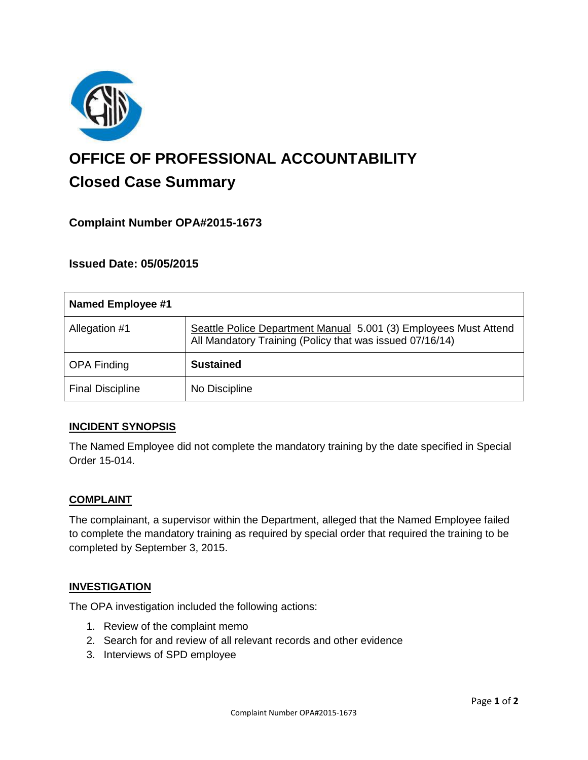

# **OFFICE OF PROFESSIONAL ACCOUNTABILITY Closed Case Summary**

# **Complaint Number OPA#2015-1673**

# **Issued Date: 05/05/2015**

| <b>Named Employee #1</b> |                                                                                                                              |
|--------------------------|------------------------------------------------------------------------------------------------------------------------------|
| Allegation #1            | Seattle Police Department Manual 5.001 (3) Employees Must Attend<br>All Mandatory Training (Policy that was issued 07/16/14) |
| <b>OPA Finding</b>       | <b>Sustained</b>                                                                                                             |
| <b>Final Discipline</b>  | No Discipline                                                                                                                |

## **INCIDENT SYNOPSIS**

The Named Employee did not complete the mandatory training by the date specified in Special Order 15-014.

#### **COMPLAINT**

The complainant, a supervisor within the Department, alleged that the Named Employee failed to complete the mandatory training as required by special order that required the training to be completed by September 3, 2015.

#### **INVESTIGATION**

The OPA investigation included the following actions:

- 1. Review of the complaint memo
- 2. Search for and review of all relevant records and other evidence
- 3. Interviews of SPD employee